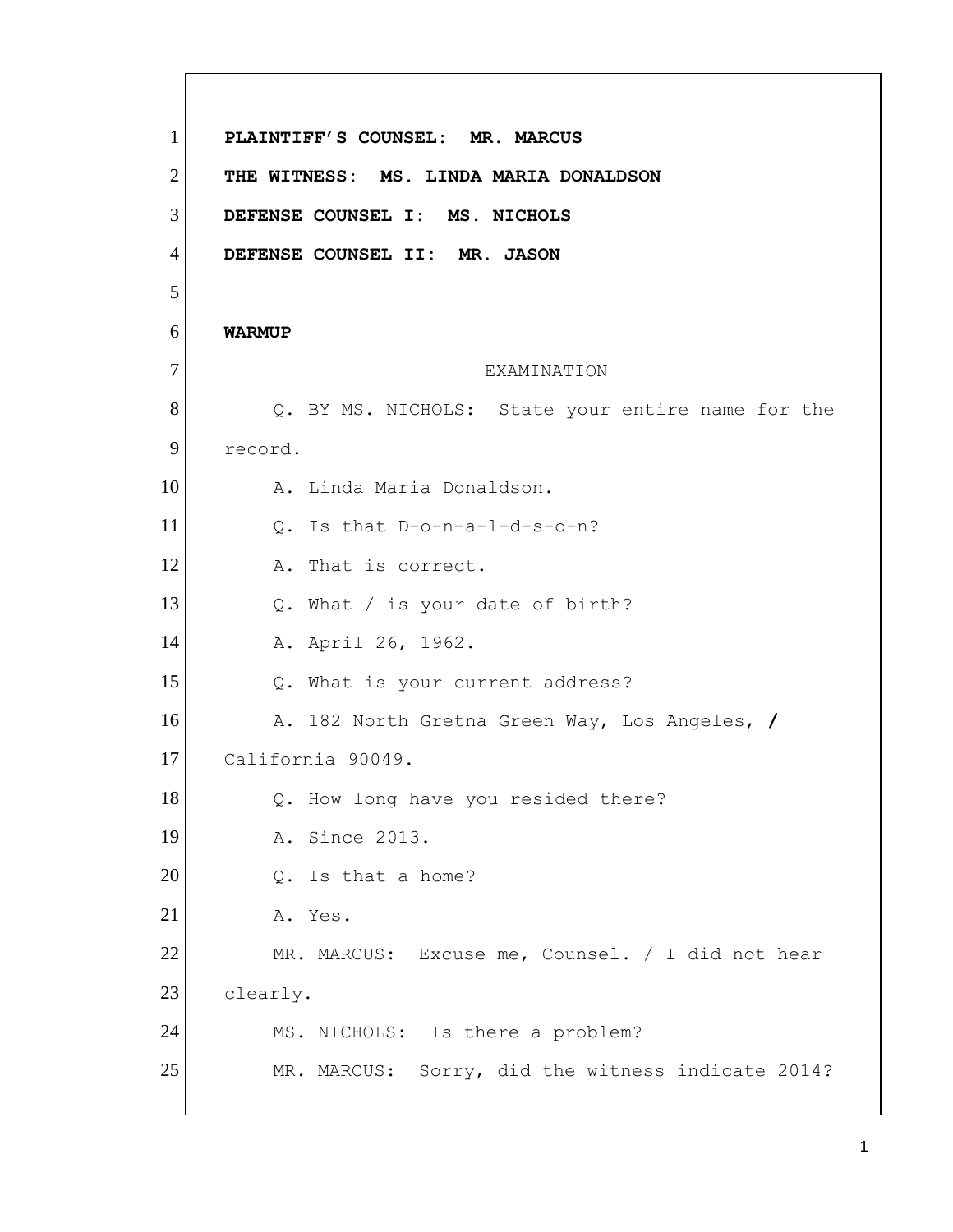**DEFENSE COUNSEL I: MS. NICHOLS DEFENSE COUNSEL II: MR. JASON**  Q. BY MS. NICHOLS: State your entire name for the clearly. 1 2 3 4 5 6 7 8 9 10 11 12 13 14 15 16 17 18 19 20 21 22 23 24 25 **PLAINTIFF'S COUNSEL: MR. MARCUS THE WITNESS: MS. LINDA MARIA DONALDSON WARMUP**  EXAMINATION record. A. Linda Maria Donaldson. Q. Is that D-o-n-a-l-d-s-o-n? A. That is correct. Q. What / is your date of birth? A. April 26, 1962. Q. What is your current address? A. 182 North Gretna Green Way, Los Angeles, **/**  California 90049. Q. How long have you resided there? A. Since 2013. Q. Is that a home? A. Yes. MR. MARCUS: Excuse me, Counsel. / I did not hear MS. NICHOLS: Is there a problem? MR. MARCUS: Sorry, did the witness indicate 2014?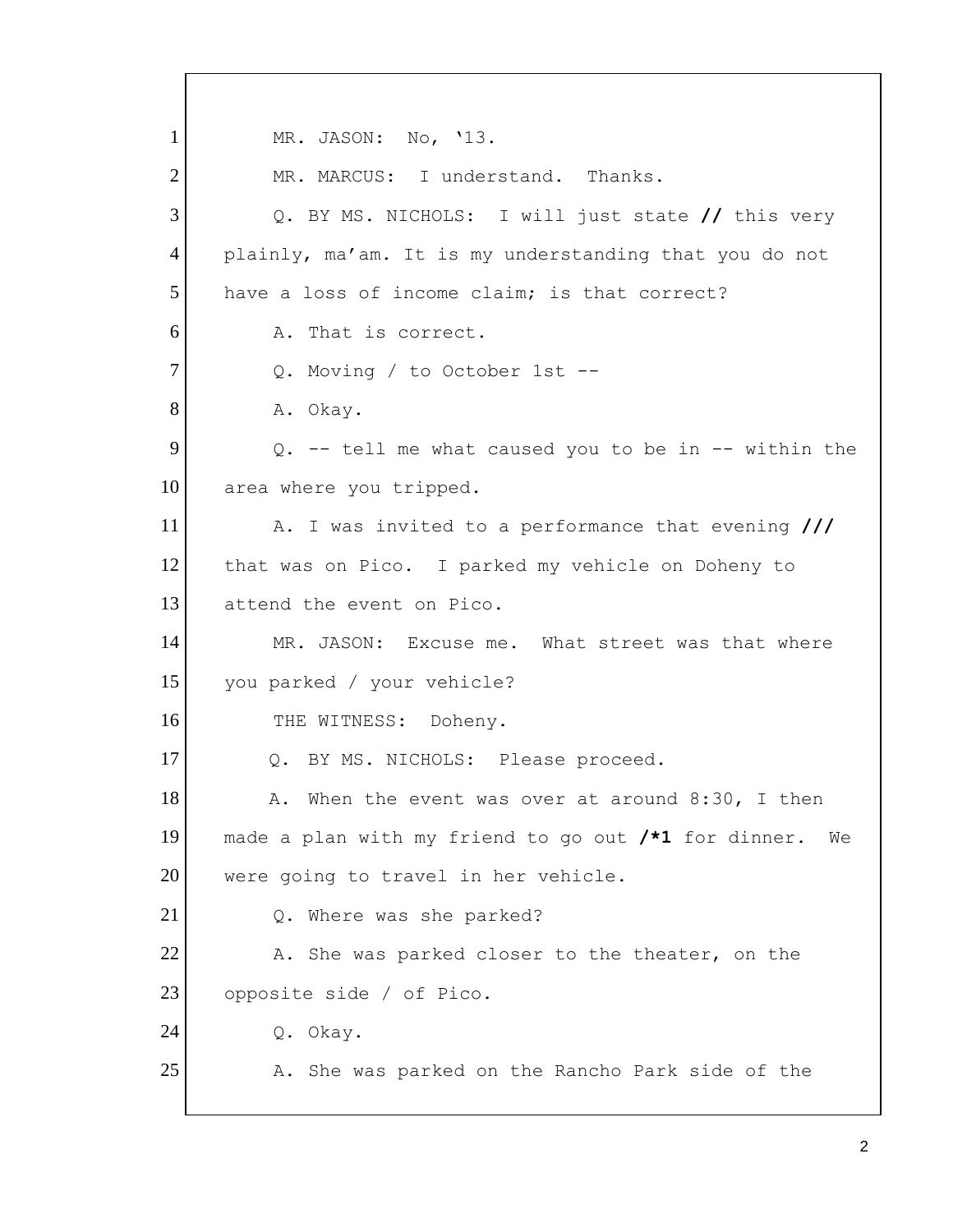1 2 3 4 5 6 7 8 9 10 11 12 13 14 15 16 17 18 19 20 21 22 23 24 25 MR. JASON: No, '13. MR. MARCUS: I understand. Thanks. Q. BY MS. NICHOLS: I will just state **//** this very plainly, ma'am. It is my understanding that you do not have a loss of income claim; is that correct? A. That is correct. Q. Moving / to October 1st -- A. Okay. Q. -- tell me what caused you to be in -- within the area where you tripped. A. I was invited to a performance that evening **///**  that was on Pico. I parked my vehicle on Doheny to attend the event on Pico. MR. JASON: Excuse me. What street was that where you parked / your vehicle? THE WITNESS: Doheny. Q. BY MS. NICHOLS: Please proceed. A. When the event was over at around 8:30, I then made a plan with my friend to go out **/\*1** for dinner. We were going to travel in her vehicle. Q. Where was she parked? A. She was parked closer to the theater, on the opposite side / of Pico. Q. Okay. A. She was parked on the Rancho Park side of the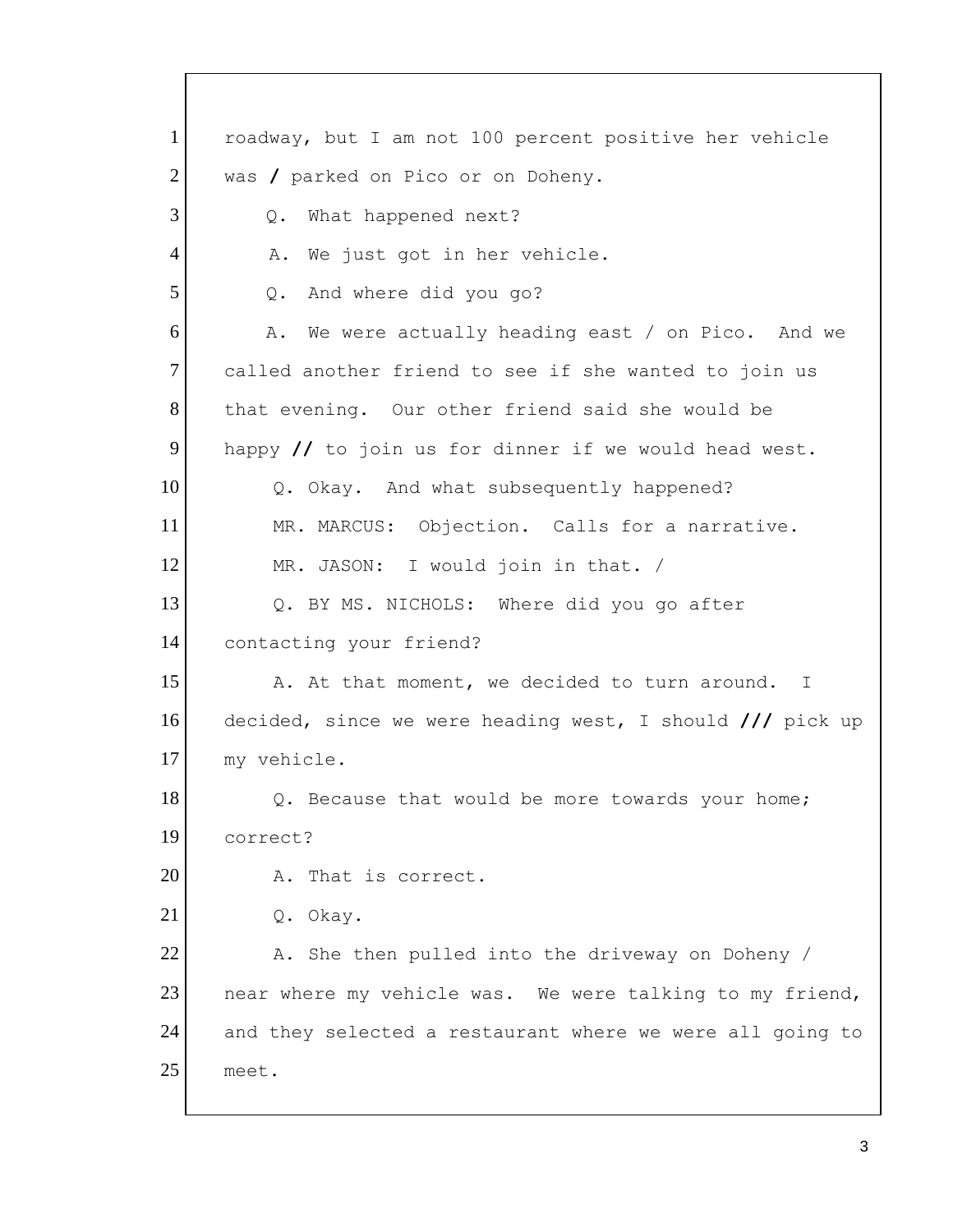Q. What happened next? 1 2 3 4 5 6 7 8 9 10 11 12 13 14 15 16 17 18 19 20 21 22 23 24 25 roadway, but I am not 100 percent positive her vehicle was **/** parked on Pico or on Doheny. A. We just got in her vehicle. Q. And where did you go? A. We were actually heading east / on Pico. And we called another friend to see if she wanted to join us that evening. Our other friend said she would be happy **//** to join us for dinner if we would head west. Q. Okay. And what subsequently happened? MR. MARCUS: Objection. Calls for a narrative. MR. JASON: I would join in that. / Q. BY MS. NICHOLS: Where did you go after contacting your friend? A. At that moment, we decided to turn around. I decided, since we were heading west, I should **///** pick up my vehicle. Q. Because that would be more towards your home; correct? A. That is correct. Q. Okay. A. She then pulled into the driveway on Doheny / near where my vehicle was. We were talking to my friend, and they selected a restaurant where we were all going to meet.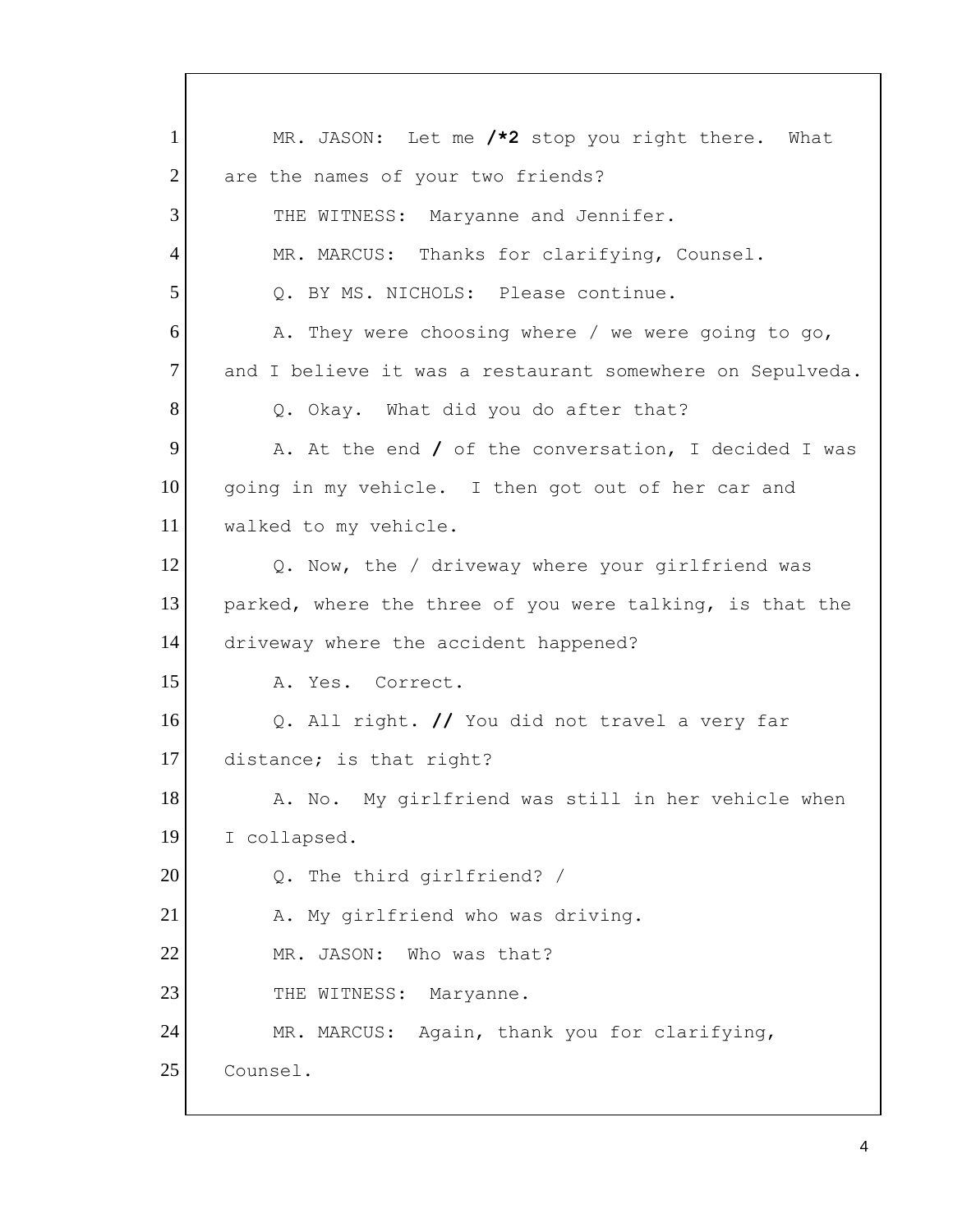Q. BY MS. NICHOLS: Please continue. Q. Okay. What did you do after that? 1 2 3 4 5 6 7 8 9 10 11 12 13 14 15 16 17 18 19 20 21 22 23 24 25 MR. JASON: Let me **/\*2** stop you right there. What are the names of your two friends? THE WITNESS: Maryanne and Jennifer. MR. MARCUS: Thanks for clarifying, Counsel. A. They were choosing where / we were going to go, and I believe it was a restaurant somewhere on Sepulveda. A. At the end **/** of the conversation, I decided I was going in my vehicle. I then got out of her car and walked to my vehicle. Q. Now, the / driveway where your girlfriend was parked, where the three of you were talking, is that the driveway where the accident happened? A. Yes. Correct. Q. All right. **//** You did not travel a very far distance; is that right? A. No. My girlfriend was still in her vehicle when I collapsed. Q. The third girlfriend? / A. My girlfriend who was driving. MR. JASON: Who was that? THE WITNESS: Maryanne. MR. MARCUS: Again, thank you for clarifying, Counsel.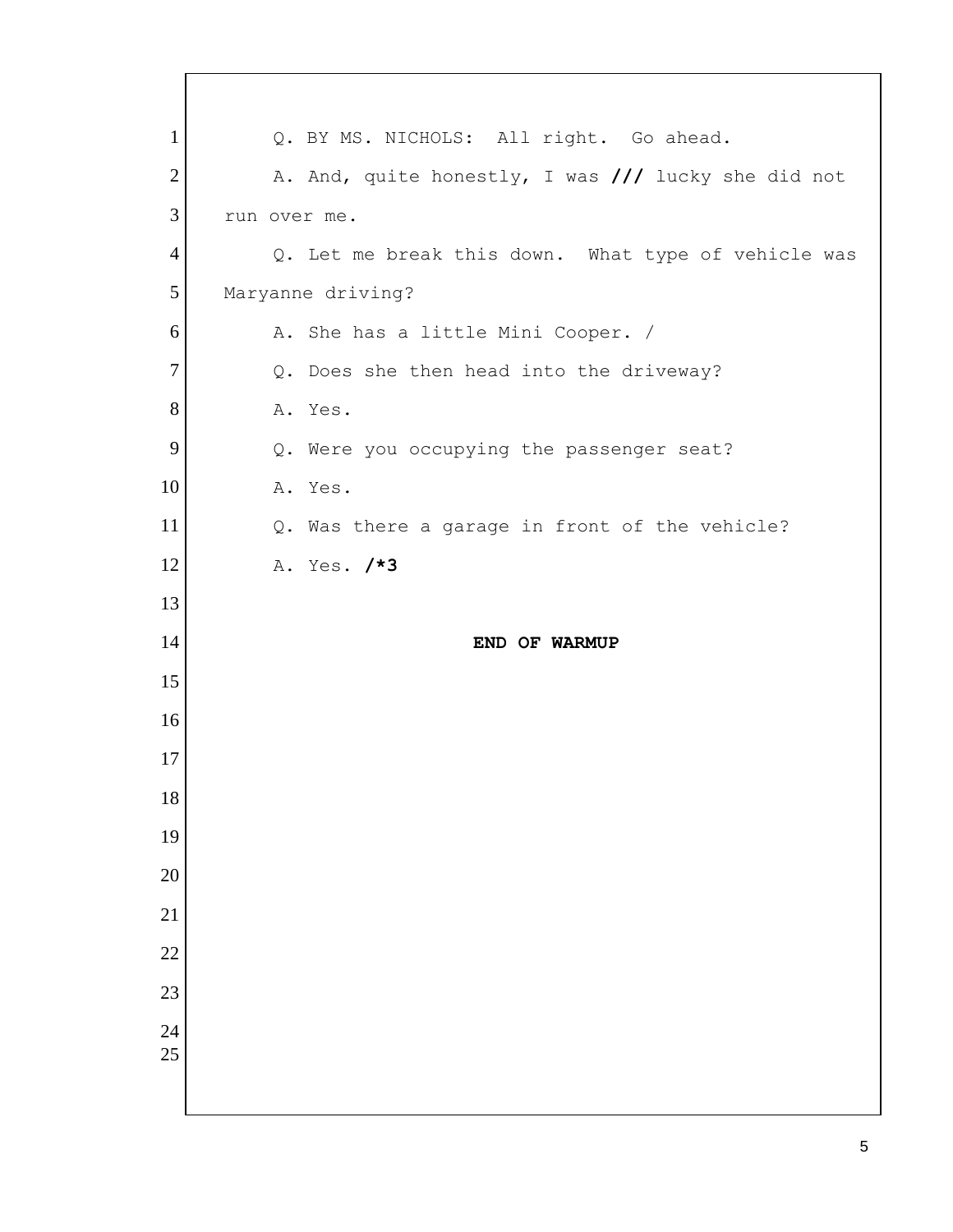| $\mathbf{1}$    | Q. BY MS. NICHOLS: All right. Go ahead.             |
|-----------------|-----------------------------------------------------|
| $\mathbf{2}$    | A. And, quite honestly, I was /// lucky she did not |
| 3               | run over me.                                        |
| $\overline{4}$  | Q. Let me break this down. What type of vehicle was |
| 5               | Maryanne driving?                                   |
| 6               | A. She has a little Mini Cooper. /                  |
| $\tau$          | Q. Does she then head into the driveway?            |
| $8\,$           | A. Yes.                                             |
| 9               | Q. Were you occupying the passenger seat?           |
| 10              | A. Yes.                                             |
| 11              | Q. Was there a garage in front of the vehicle?      |
| 12              | A. Yes. /*3                                         |
| 13              |                                                     |
| 14              | END OF WARMUP                                       |
| 15              |                                                     |
| 16              |                                                     |
| 17              |                                                     |
| 18              |                                                     |
| 19              |                                                     |
| 20              |                                                     |
| 21              |                                                     |
| $\overline{22}$ |                                                     |
| 23              |                                                     |
| 24              |                                                     |
| 25              |                                                     |
|                 |                                                     |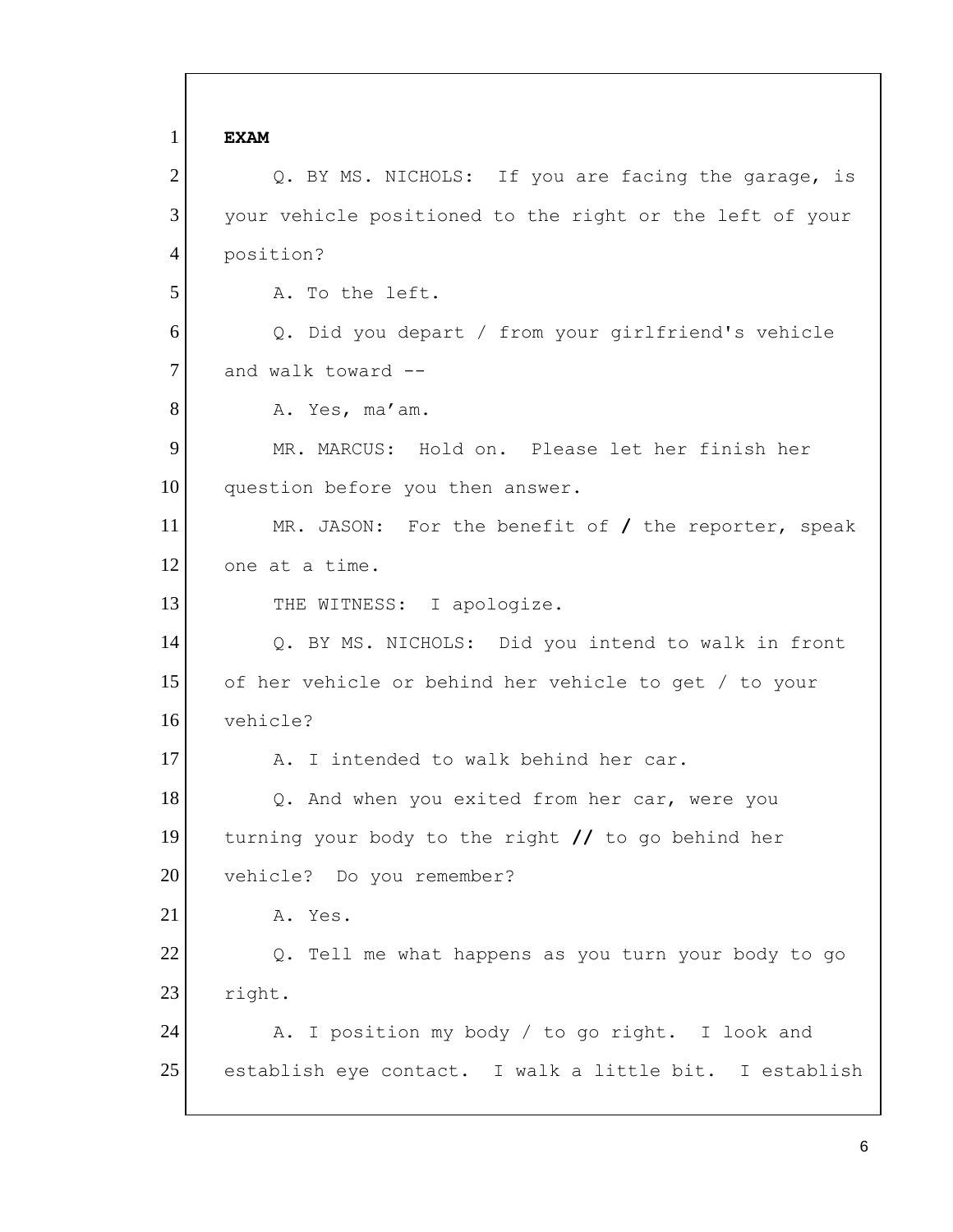Q. BY MS. NICHOLS: If you are facing the garage, is and walk toward -- Q. BY MS. NICHOLS: Did you intend to walk in front 1 2 3 4 5 6 7 8 9 10 11 12 13 14 15 16 17 18 19 20 21 22 23 24 25 **EXAM**  your vehicle positioned to the right or the left of your position? A. To the left. Q. Did you depart / from your girlfriend's vehicle A. Yes, ma'am. MR. MARCUS: Hold on. Please let her finish her question before you then answer. MR. JASON: For the benefit of **/** the reporter, speak one at a time. THE WITNESS: I apologize. of her vehicle or behind her vehicle to get / to your vehicle? A. I intended to walk behind her car. Q. And when you exited from her car, were you turning your body to the right **//** to go behind her vehicle? Do you remember? A. Yes. Q. Tell me what happens as you turn your body to go right. A. I position my body / to go right. I look and establish eye contact. I walk a little bit. I establish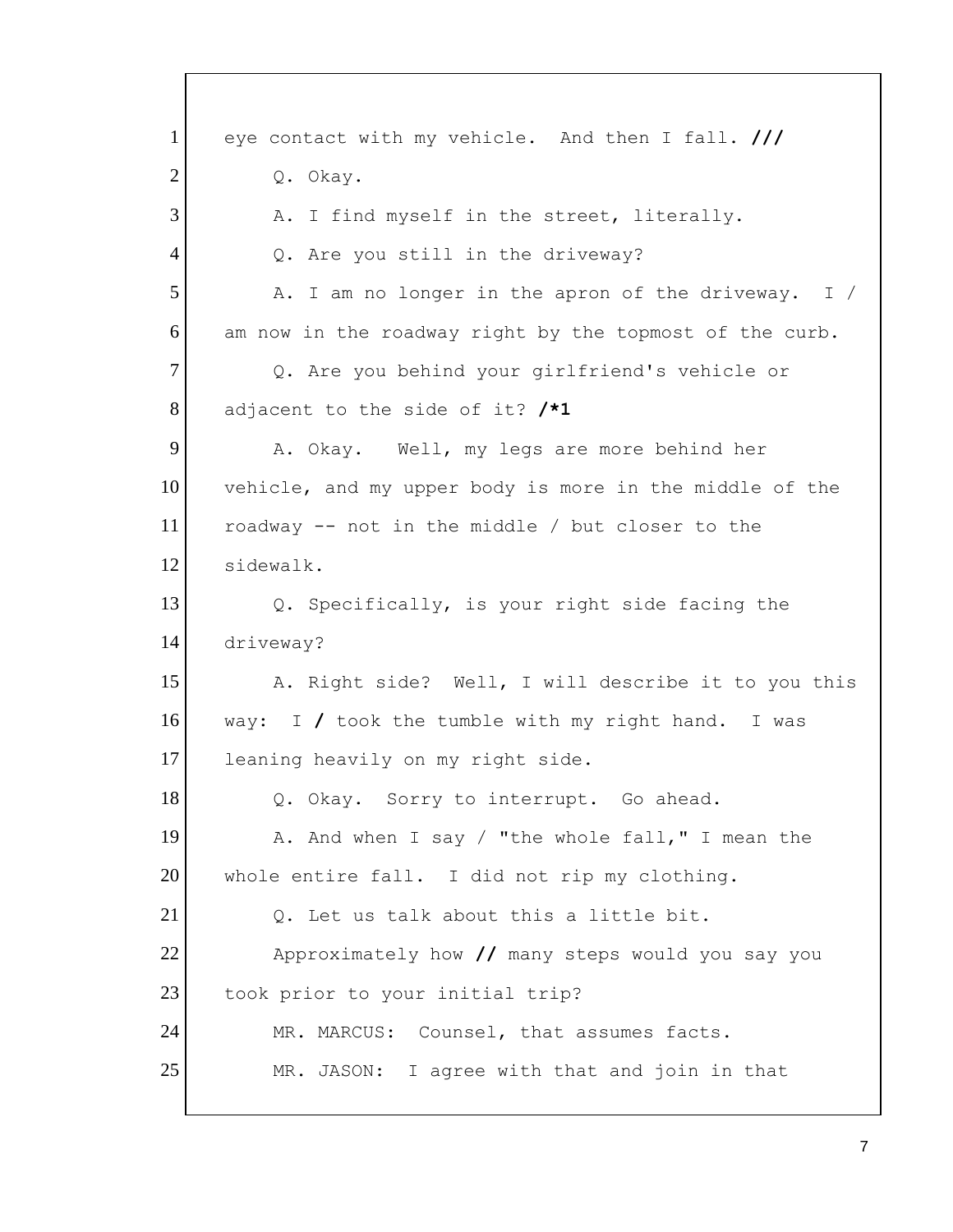way: I **/** took the tumble with my right hand. I was 1 2 3 4 5 6 7 8 9 10 11 12 13 14 15 16 17 18 19 20 21 22 23 24 25 eye contact with my vehicle. And then I fall. **///**  Q. Okay. A. I find myself in the street, literally. Q. Are you still in the driveway? A. I am no longer in the apron of the driveway. I / am now in the roadway right by the topmost of the curb. Q. Are you behind your girlfriend's vehicle or adjacent to the side of it? **/\*1**  A. Okay. Well, my legs are more behind her vehicle, and my upper body is more in the middle of the roadway -- not in the middle / but closer to the sidewalk. Q. Specifically, is your right side facing the driveway? A. Right side? Well, I will describe it to you this leaning heavily on my right side. Q. Okay. Sorry to interrupt. Go ahead. A. And when I say / "the whole fall," I mean the whole entire fall. I did not rip my clothing. Q. Let us talk about this a little bit. Approximately how **//** many steps would you say you took prior to your initial trip? MR. MARCUS: Counsel, that assumes facts. MR. JASON: I agree with that and join in that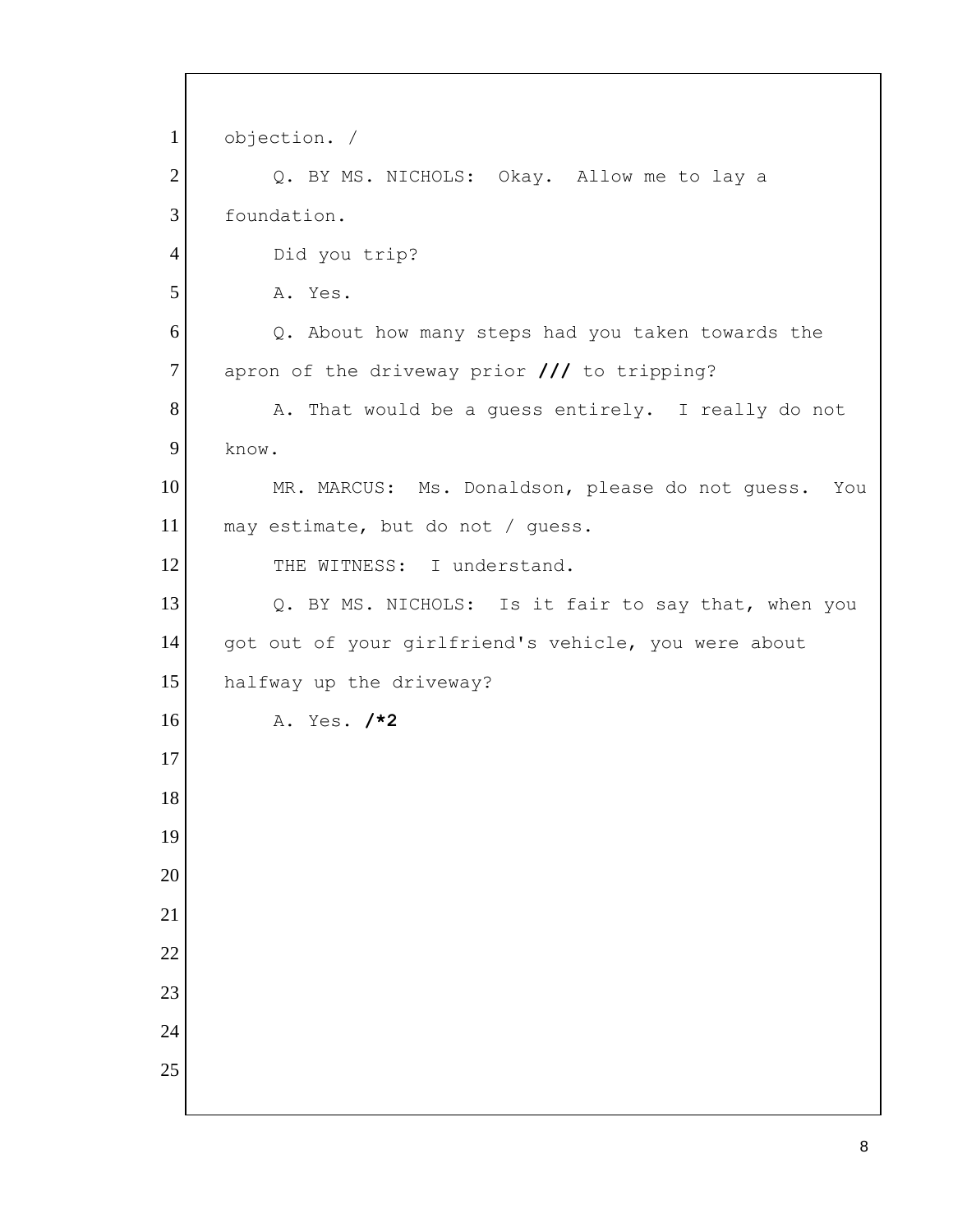A. Yes. **/\*2**  objection. / Q. BY MS. NICHOLS: Okay. Allow me to lay a foundation. Did you trip? A. Yes. Q. About how many steps had you taken towards the apron of the driveway prior **///** to tripping? A. That would be a guess entirely. I really do not know. MR. MARCUS: Ms. Donaldson, please do not guess. You may estimate, but do not / guess. THE WITNESS: I understand. Q. BY MS. NICHOLS: Is it fair to say that, when you got out of your girlfriend's vehicle, you were about halfway up the driveway?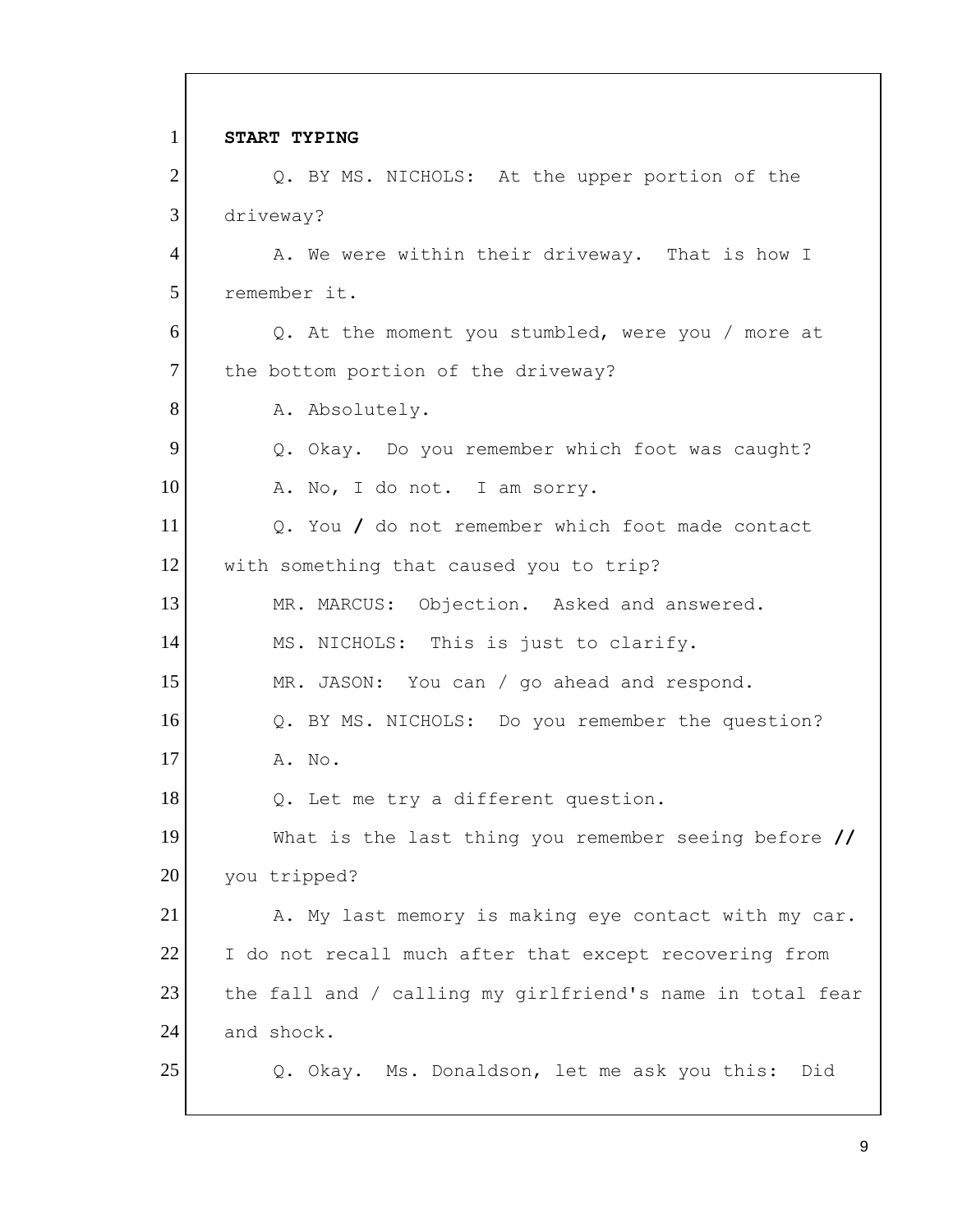Q. BY MS. NICHOLS: At the upper portion of the 1 2 3 4 5 6 7 8 9 10 11 12 13 14 15 16 17 18 19 20 21 22 23 24 25 **START TYPING**  driveway? A. We were within their driveway. That is how I remember it. Q. At the moment you stumbled, were you / more at the bottom portion of the driveway? A. Absolutely. Q. Okay. Do you remember which foot was caught? A. No, I do not. I am sorry. Q. You **/** do not remember which foot made contact with something that caused you to trip? MR. MARCUS: Objection. Asked and answered. MS. NICHOLS: This is just to clarify. MR. JASON: You can / go ahead and respond. Q. BY MS. NICHOLS: Do you remember the question? A. No. Q. Let me try a different question. What is the last thing you remember seeing before **//**  you tripped? A. My last memory is making eye contact with my car. I do not recall much after that except recovering from the fall and / calling my girlfriend's name in total fear and shock. Q. Okay. Ms. Donaldson, let me ask you this: Did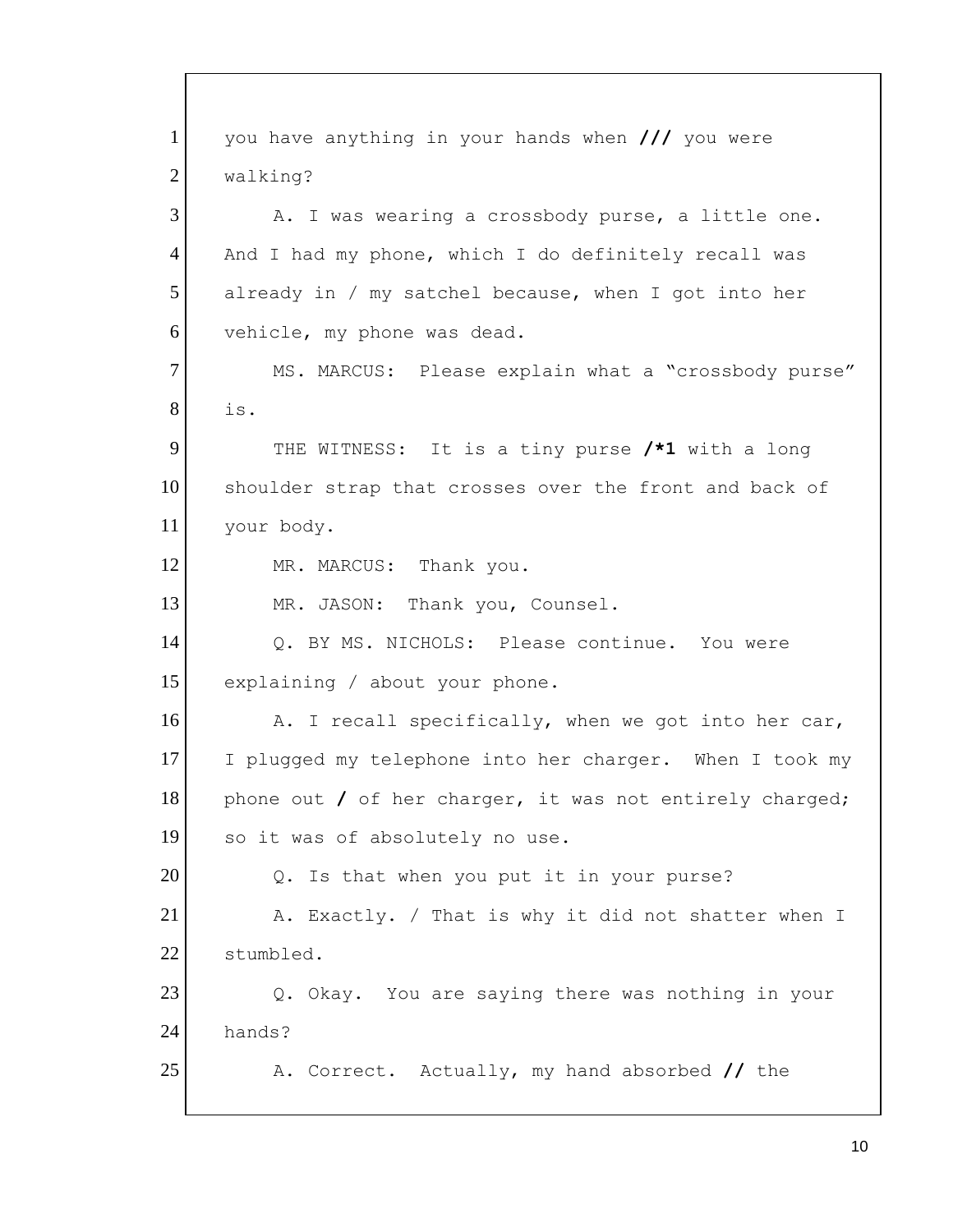1 2 3 4 5 6 7 8 9 10 11 12 13 14 15 16 17 18 19 20 21 22 23 24 25 you have anything in your hands when **///** you were walking? A. I was wearing a crossbody purse, a little one. And I had my phone, which I do definitely recall was already in / my satchel because, when I got into her vehicle, my phone was dead. MS. MARCUS: Please explain what a "crossbody purse" is. THE WITNESS: It is a tiny purse **/\*1** with a long shoulder strap that crosses over the front and back of your body. MR. MARCUS: Thank you. MR. JASON: Thank you, Counsel. Q. BY MS. NICHOLS: Please continue. You were explaining / about your phone. A. I recall specifically, when we got into her car, I plugged my telephone into her charger. When I took my phone out **/** of her charger, it was not entirely charged; so it was of absolutely no use. Q. Is that when you put it in your purse? A. Exactly. / That is why it did not shatter when I stumbled. Q. Okay. You are saying there was nothing in your hands? A. Correct. Actually, my hand absorbed **//** the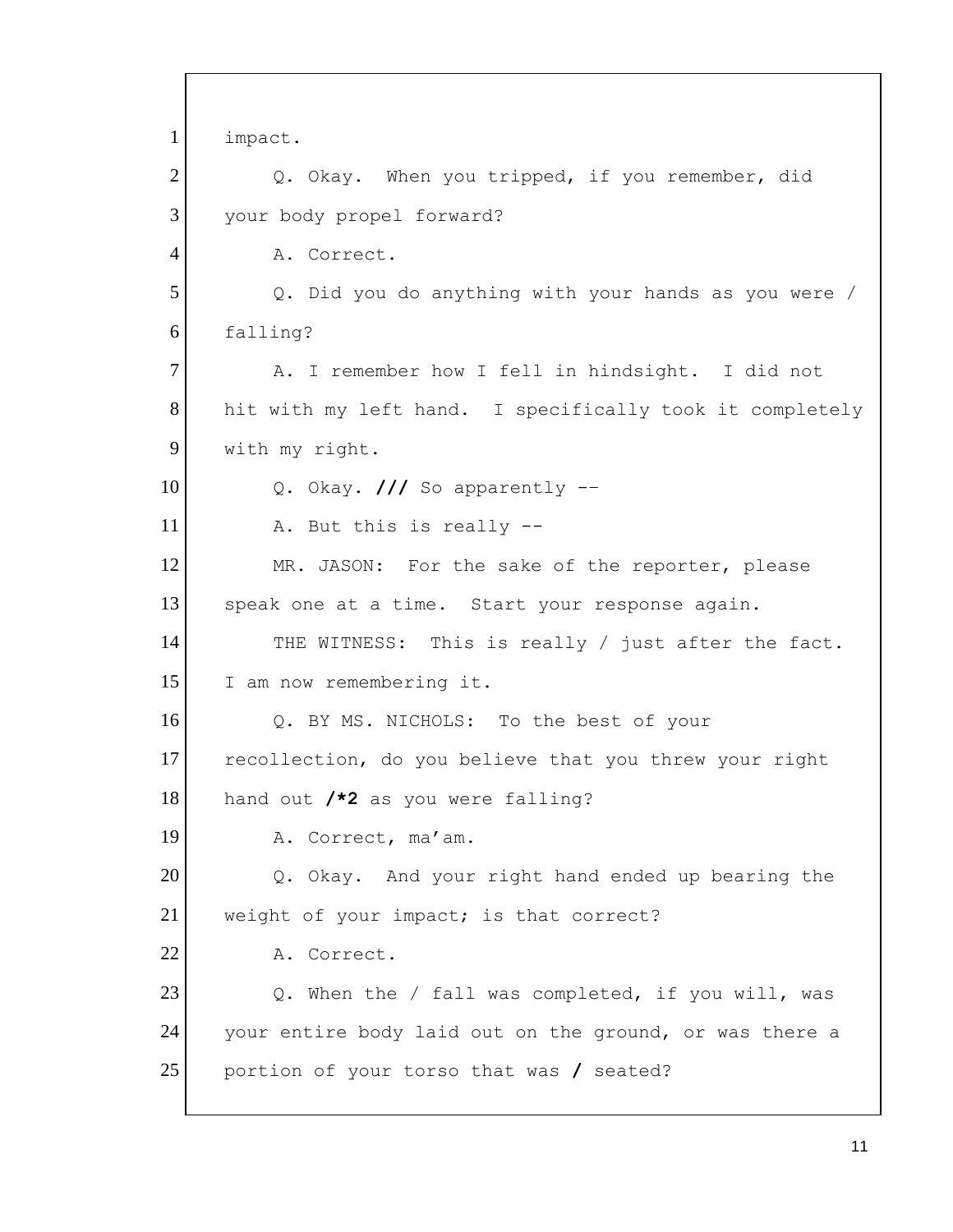Q. BY MS. NICHOLS: To the best of your 1 2 3 4 5 6 7 8 9 10 11 12 13 14 15 16 17 18 19 20 21 22 23 24 25 impact. Q. Okay. When you tripped, if you remember, did your body propel forward? A. Correct. Q. Did you do anything with your hands as you were / falling? A. I remember how I fell in hindsight. I did not hit with my left hand. I specifically took it completely with my right. Q. Okay. **///** So apparently -– A. But this is really -- MR. JASON: For the sake of the reporter, please speak one at a time. Start your response again. THE WITNESS: This is really / just after the fact. I am now remembering it. recollection, do you believe that you threw your right hand out **/\*2** as you were falling? A. Correct, ma'am. Q. Okay. And your right hand ended up bearing the weight of your impact; is that correct? A. Correct. Q. When the / fall was completed, if you will, was your entire body laid out on the ground, or was there a portion of your torso that was **/** seated?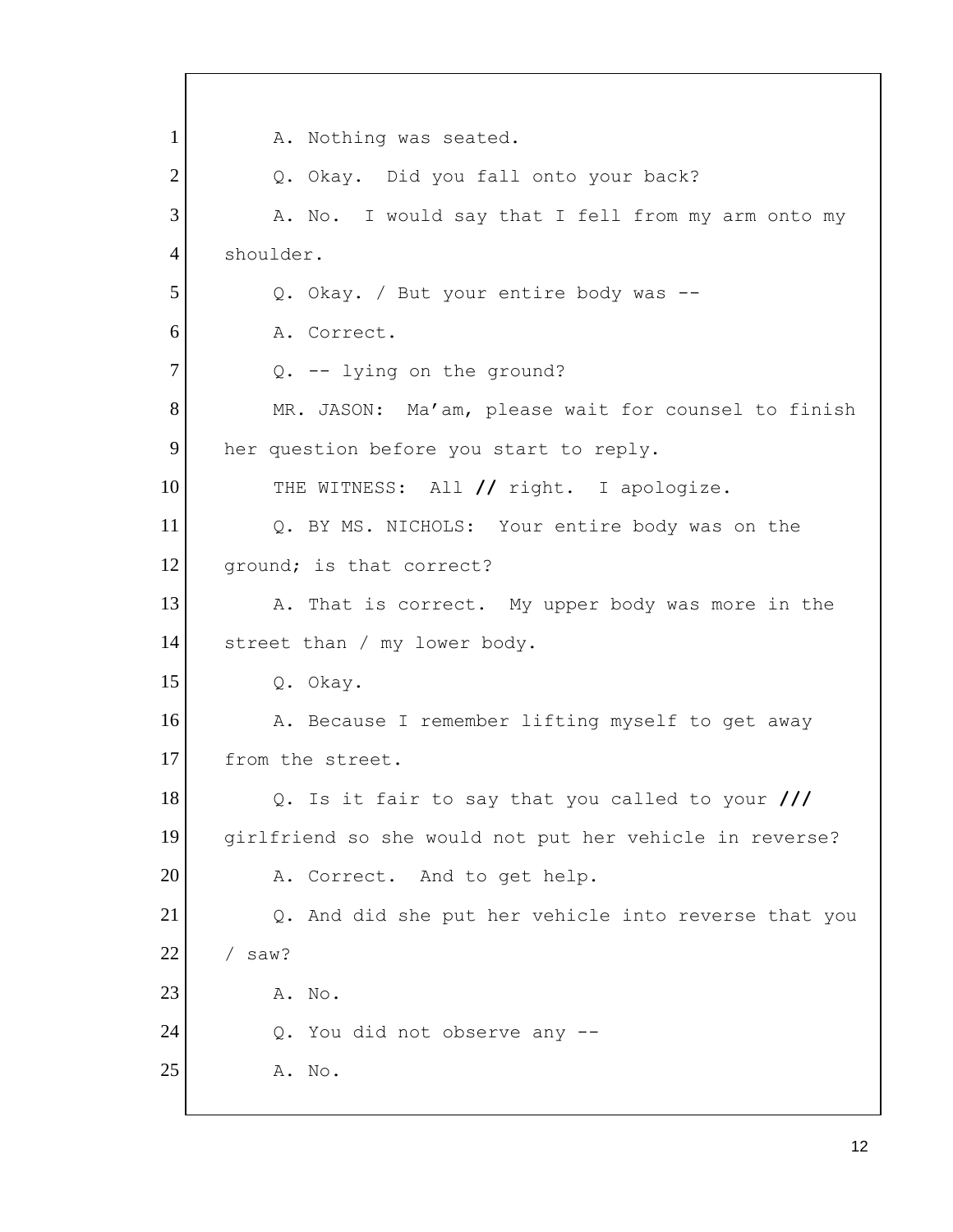Q. BY MS. NICHOLS: Your entire body was on the 1 2 3 4 5 6 7 8 9 10 11 12 13 14 15 16 17 18 19 20 21 22 23 24 25 A. Nothing was seated. Q. Okay. Did you fall onto your back? A. No. I would say that I fell from my arm onto my shoulder. Q. Okay. / But your entire body was -- A. Correct. Q. -- lying on the ground? MR. JASON: Ma'am, please wait for counsel to finish her question before you start to reply. THE WITNESS: All **//** right. I apologize. ground; is that correct? A. That is correct. My upper body was more in the street than / my lower body. Q. Okay. A. Because I remember lifting myself to get away from the street. Q. Is it fair to say that you called to your **///**  girlfriend so she would not put her vehicle in reverse? A. Correct. And to get help. Q. And did she put her vehicle into reverse that you / saw? A. No. Q. You did not observe any -- A. No.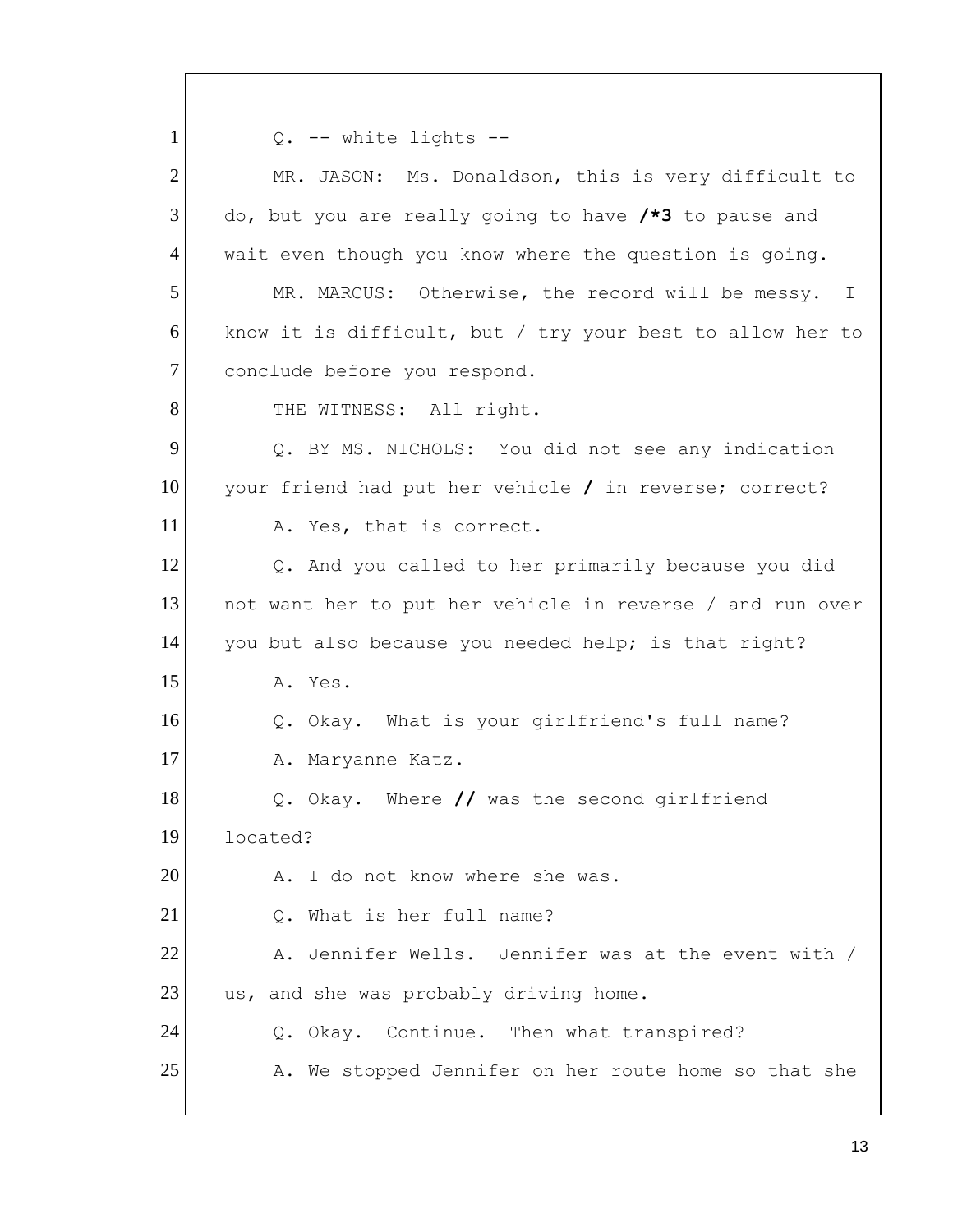Q. -- white lights -- Q. BY MS. NICHOLS: You did not see any indication 1 2 3 4 5 6 7 8 9 10 11 12 13 14 15 16 17 18 19 20 21 22 23 24 25 MR. JASON: Ms. Donaldson, this is very difficult to do, but you are really going to have **/\*3** to pause and wait even though you know where the question is going. MR. MARCUS: Otherwise, the record will be messy. I know it is difficult, but / try your best to allow her to conclude before you respond. THE WITNESS: All right. your friend had put her vehicle **/** in reverse; correct? A. Yes, that is correct. Q. And you called to her primarily because you did not want her to put her vehicle in reverse / and run over you but also because you needed help; is that right? A. Yes. Q. Okay. What is your girlfriend's full name? A. Maryanne Katz. Q. Okay. Where **//** was the second girlfriend located? A. I do not know where she was. Q. What is her full name? A. Jennifer Wells. Jennifer was at the event with / us, and she was probably driving home. Q. Okay. Continue. Then what transpired? A. We stopped Jennifer on her route home so that she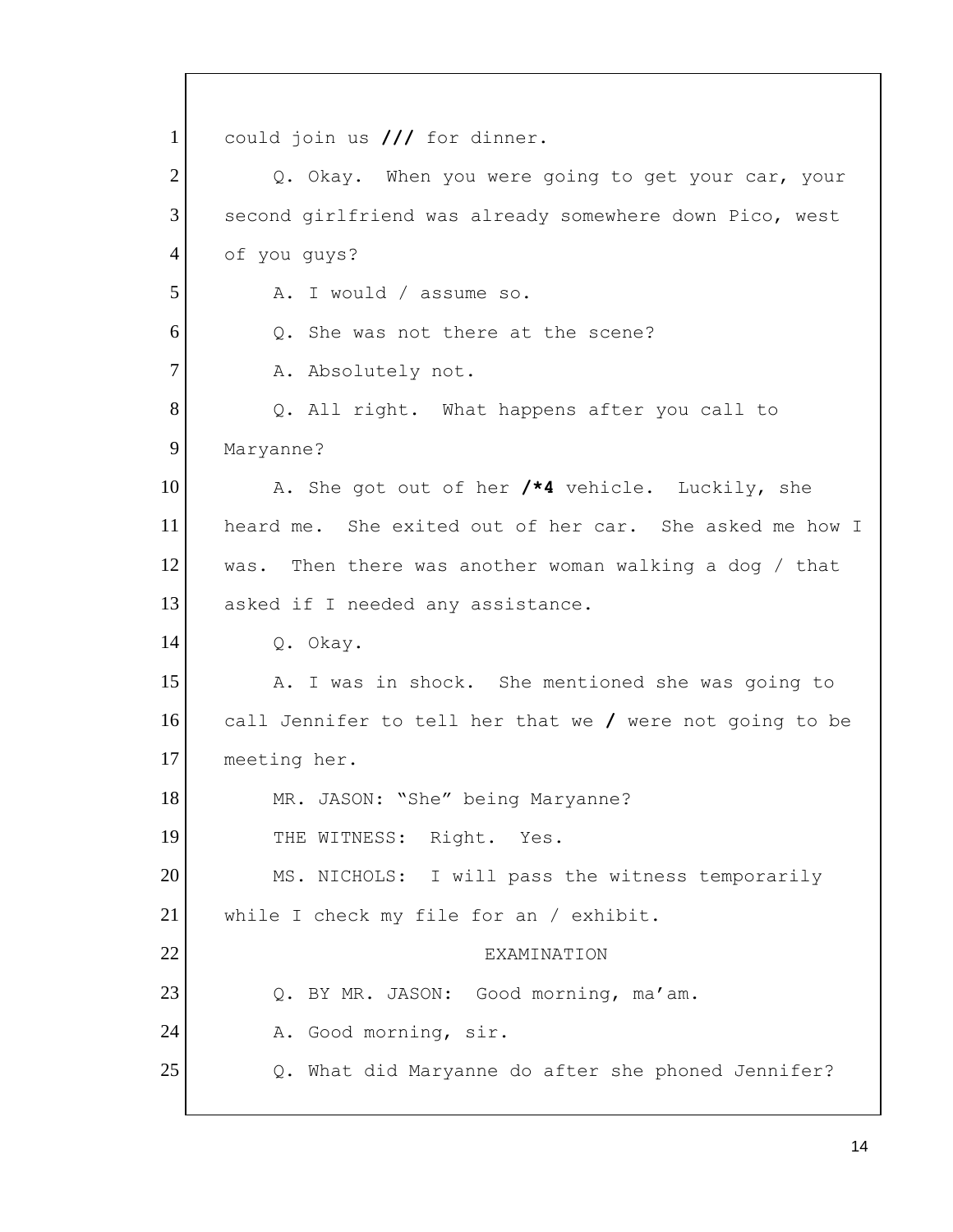Q. BY MR. JASON: Good morning, ma'am. 1 2 3 4 5 6 7 8 9 10 11 12 13 14 15 16 17 18 19 20 21 22 23 24 25 could join us **///** for dinner. Q. Okay. When you were going to get your car, your second girlfriend was already somewhere down Pico, west of you guys? A. I would / assume so. Q. She was not there at the scene? A. Absolutely not. Q. All right. What happens after you call to Maryanne? A. She got out of her **/\*4** vehicle. Luckily, she heard me. She exited out of her car. She asked me how I was. Then there was another woman walking a dog / that asked if I needed any assistance. Q. Okay. A. I was in shock. She mentioned she was going to call Jennifer to tell her that we **/** were not going to be meeting her. MR. JASON: "She" being Maryanne? THE WITNESS: Right. Yes. MS. NICHOLS: I will pass the witness temporarily while I check my file for an / exhibit. **EXAMINATION** A. Good morning, sir. Q. What did Maryanne do after she phoned Jennifer?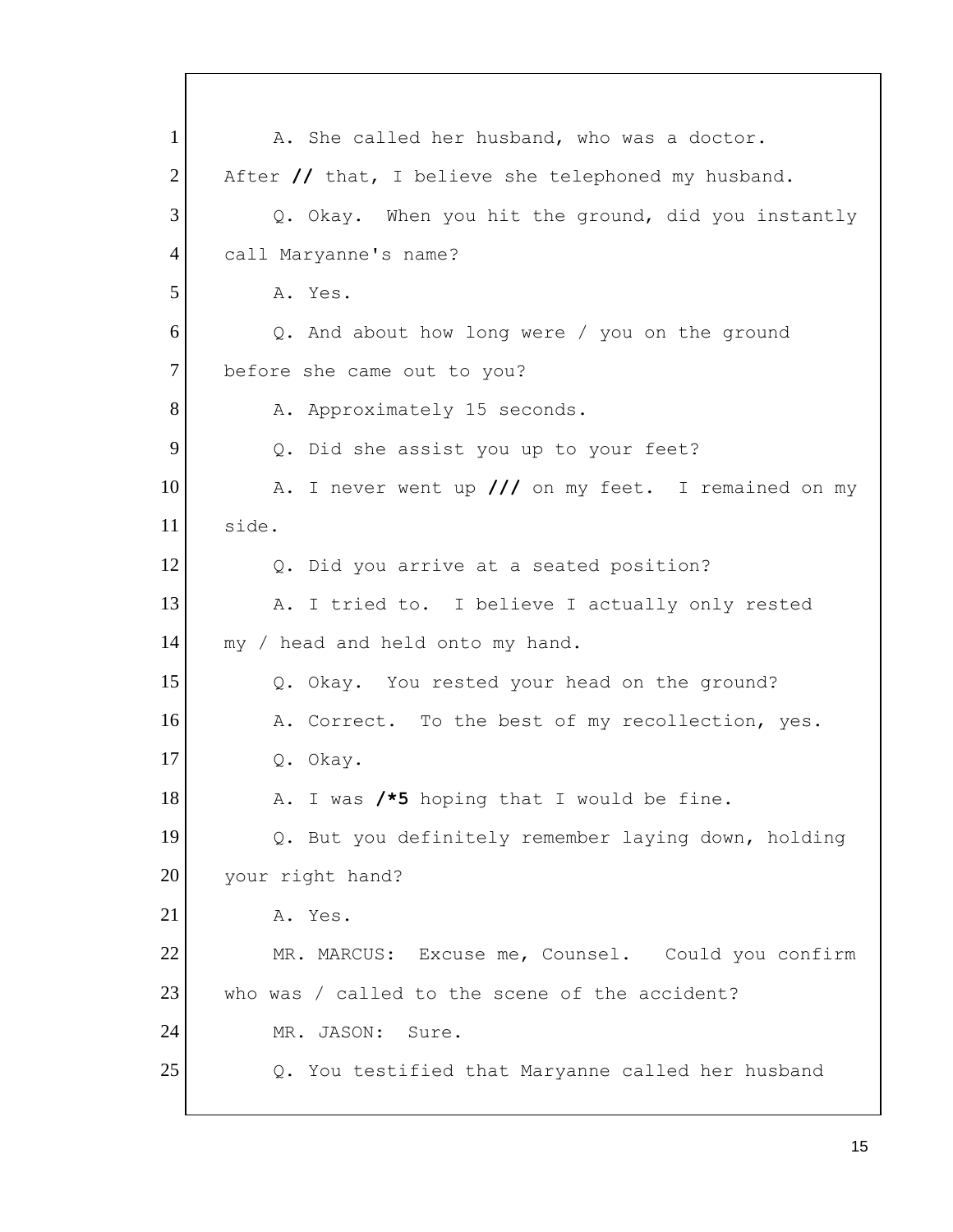1 2 3 4 5 6 7 8 9 10 11 12 13 14 15 16 17 18 19 20 21 22 23 24 25 A. She called her husband, who was a doctor. After **//** that, I believe she telephoned my husband. Q. Okay. When you hit the ground, did you instantly call Maryanne's name? A. Yes. Q. And about how long were / you on the ground before she came out to you? A. Approximately 15 seconds. Q. Did she assist you up to your feet? A. I never went up **///** on my feet. I remained on my side. Q. Did you arrive at a seated position? A. I tried to. I believe I actually only rested my / head and held onto my hand. Q. Okay. You rested your head on the ground? A. Correct. To the best of my recollection, yes. Q. Okay. A. I was **/\*5** hoping that I would be fine. Q. But you definitely remember laying down, holding your right hand? A. Yes. MR. MARCUS: Excuse me, Counsel. Could you confirm who was / called to the scene of the accident? MR. JASON: Sure. Q. You testified that Maryanne called her husband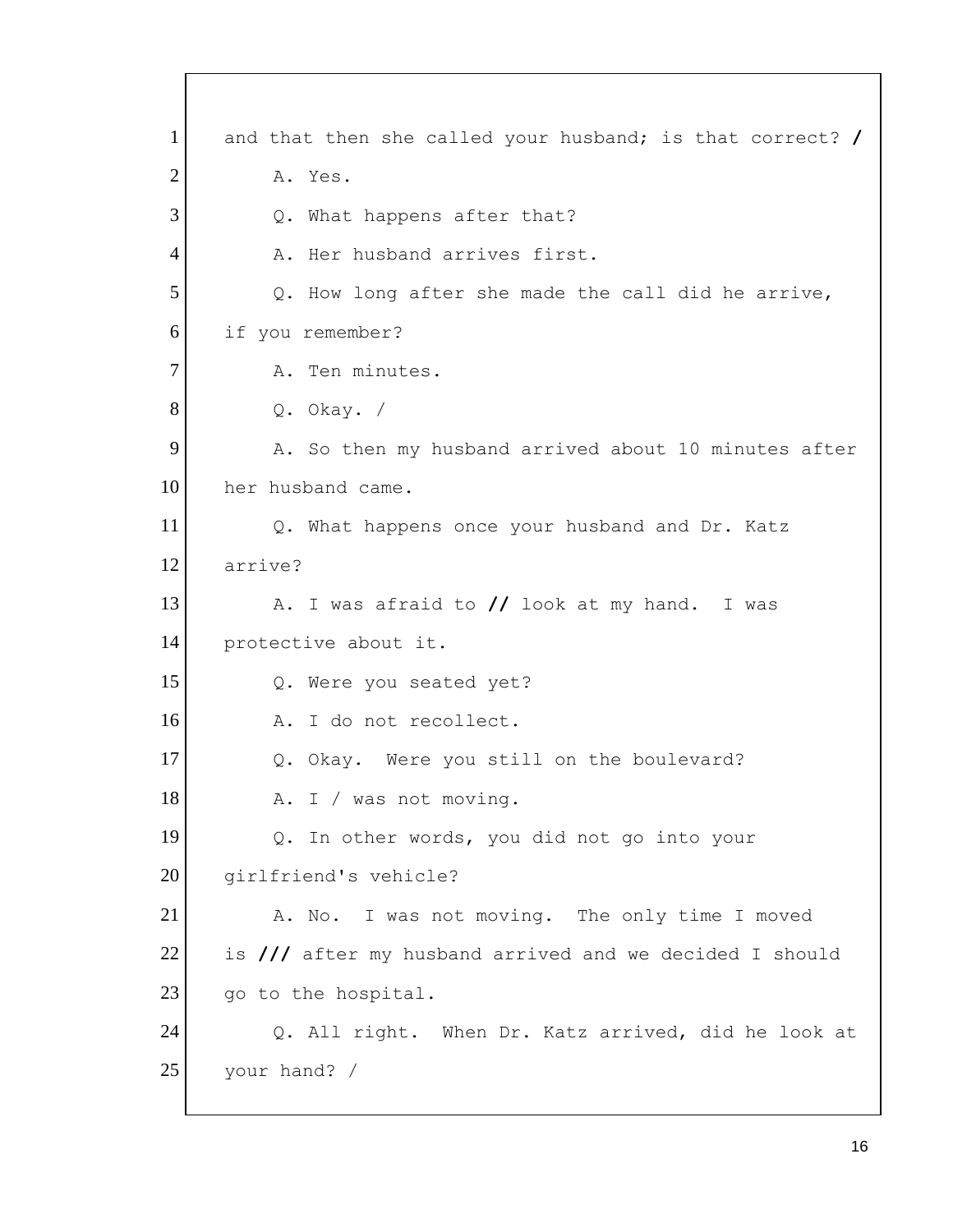1 2 3 4 5 6 7 8 9 10 11 12 13 14 15 16 17 18 19 20 21 22 23 24 25 and that then she called your husband; is that correct? **/**  A. Yes. Q. What happens after that? A. Her husband arrives first. Q. How long after she made the call did he arrive, if you remember? A. Ten minutes. Q. Okay. / A. So then my husband arrived about 10 minutes after her husband came. Q. What happens once your husband and Dr. Katz arrive? A. I was afraid to **//** look at my hand. I was protective about it. Q. Were you seated yet? A. I do not recollect. Q. Okay. Were you still on the boulevard? A. I / was not moving. Q. In other words, you did not go into your girlfriend's vehicle? A. No. I was not moving. The only time I moved is **///** after my husband arrived and we decided I should go to the hospital. Q. All right. When Dr. Katz arrived, did he look at your hand? /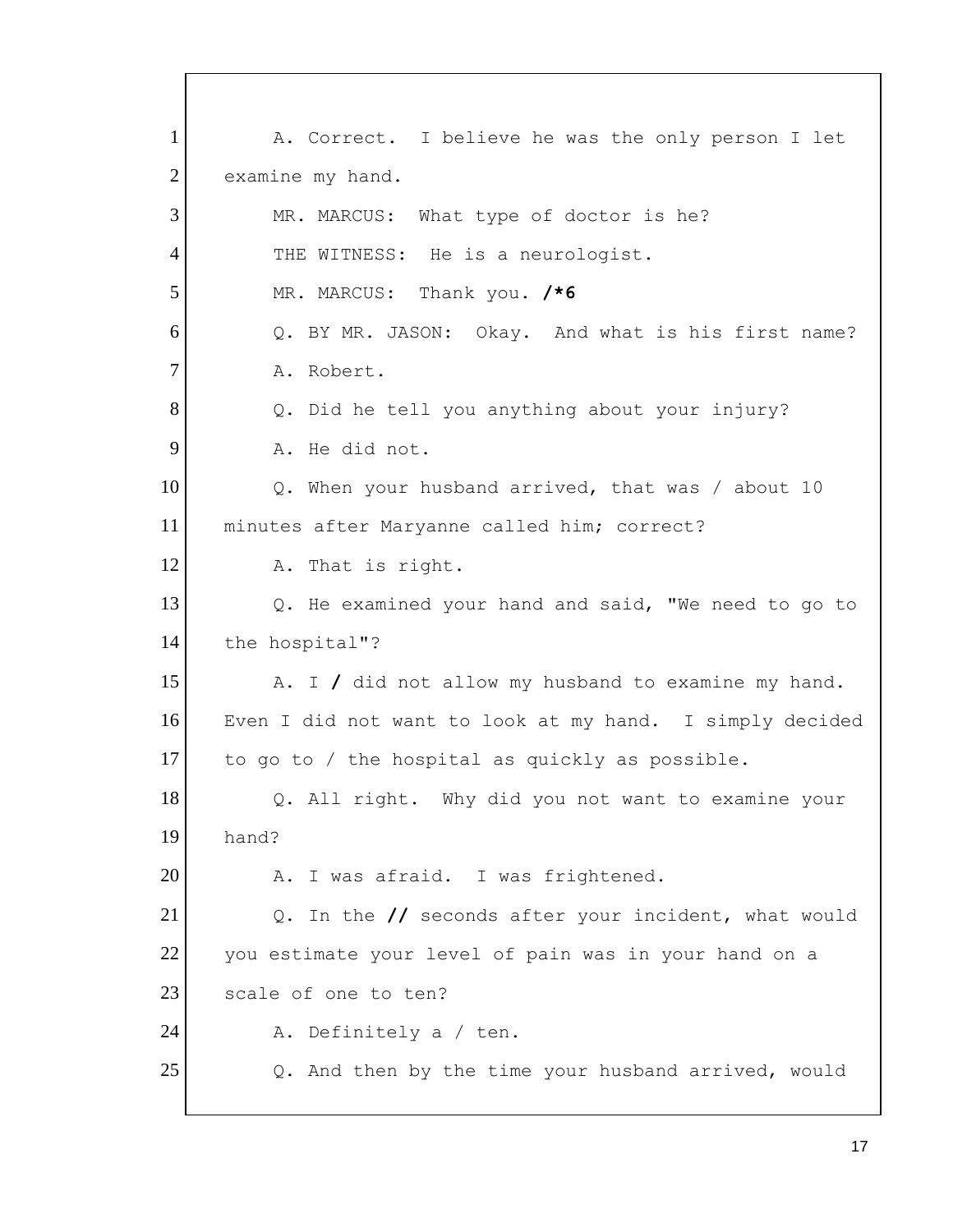1 2 3 4 5 6 7 8 9 10 11 12 13 14 15 16 17 18 19 20 21 22 23 24 25 A. Correct. I believe he was the only person I let examine my hand. MR. MARCUS: What type of doctor is he? THE WITNESS: He is a neurologist. MR. MARCUS: Thank you. **/\*6**  Q. BY MR. JASON: Okay. And what is his first name? A. Robert. Q. Did he tell you anything about your injury? A. He did not. Q. When your husband arrived, that was / about 10 minutes after Maryanne called him; correct? A. That is right. Q. He examined your hand and said, "We need to go to the hospital"? A. I **/** did not allow my husband to examine my hand. Even I did not want to look at my hand. I simply decided to go to / the hospital as quickly as possible. Q. All right. Why did you not want to examine your hand? A. I was afraid. I was frightened. Q. In the **//** seconds after your incident, what would you estimate your level of pain was in your hand on a scale of one to ten? A. Definitely a / ten. Q. And then by the time your husband arrived, would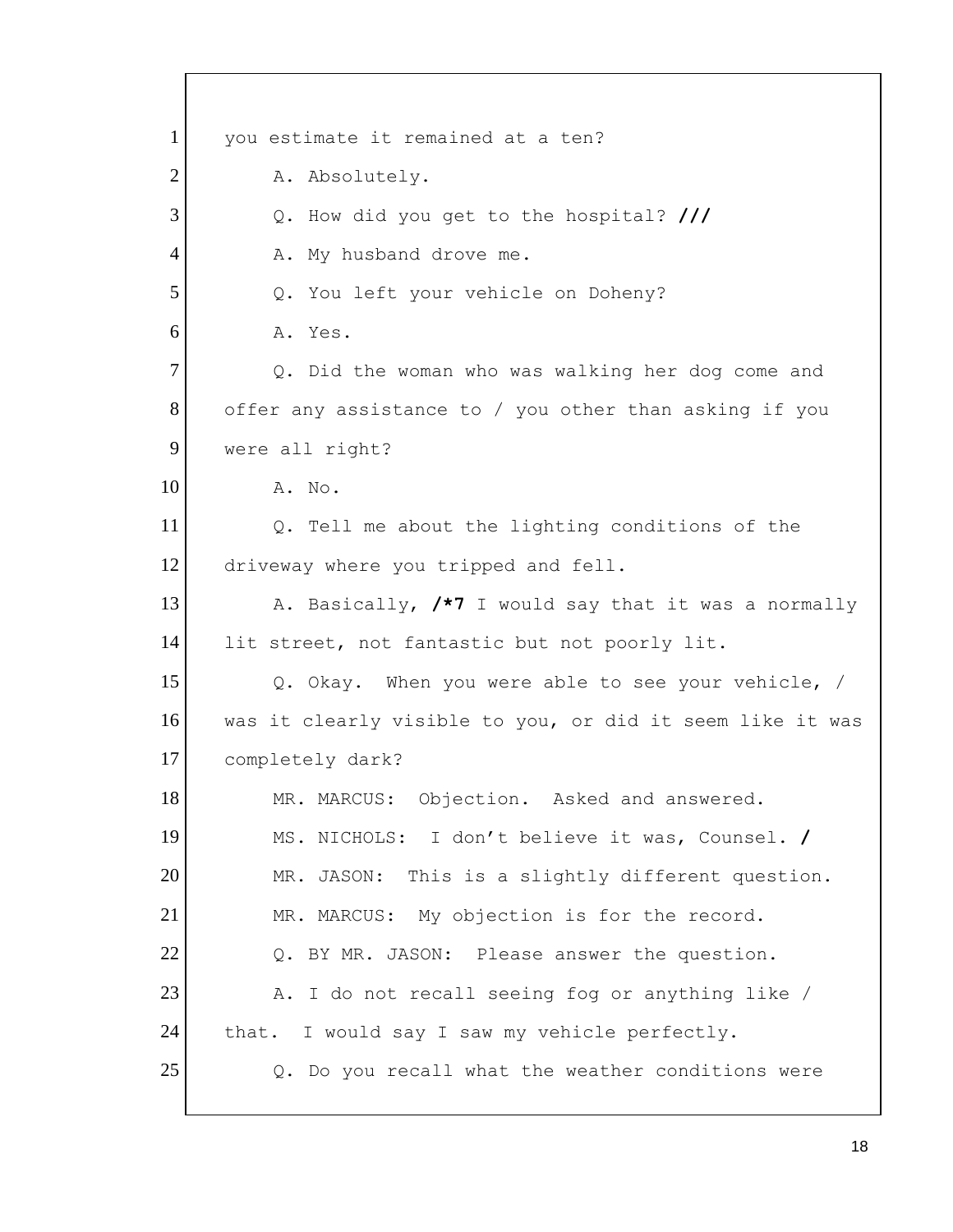| 1              | you estimate it remained at a ten?                        |
|----------------|-----------------------------------------------------------|
| $\overline{2}$ | A. Absolutely.                                            |
| 3              | Q. How did you get to the hospital? ///                   |
| $\overline{4}$ | A. My husband drove me.                                   |
| 5              | Q. You left your vehicle on Doheny?                       |
| 6              | A. Yes.                                                   |
| $\overline{7}$ | Q. Did the woman who was walking her dog come and         |
| 8              | offer any assistance to / you other than asking if you    |
| 9              | were all right?                                           |
| 10             | A. No.                                                    |
| 11             | Q. Tell me about the lighting conditions of the           |
| 12             | driveway where you tripped and fell.                      |
| 13             | A. Basically, /*7 I would say that it was a normally      |
| 14             | lit street, not fantastic but not poorly lit.             |
| 15             | Q. Okay. When you were able to see your vehicle, /        |
| 16             | was it clearly visible to you, or did it seem like it was |
| 17             | completely dark?                                          |
| 18             | MR. MARCUS: Objection. Asked and answered.                |
| 19             | MS. NICHOLS: I don't believe it was, Counsel. /           |
| 20             | MR. JASON: This is a slightly different question.         |
| 21             | MR. MARCUS: My objection is for the record.               |
| 22             | Q. BY MR. JASON: Please answer the question.              |
| 23             | A. I do not recall seeing fog or anything like /          |
| 24             | that. I would say I saw my vehicle perfectly.             |
| 25             | Q. Do you recall what the weather conditions were         |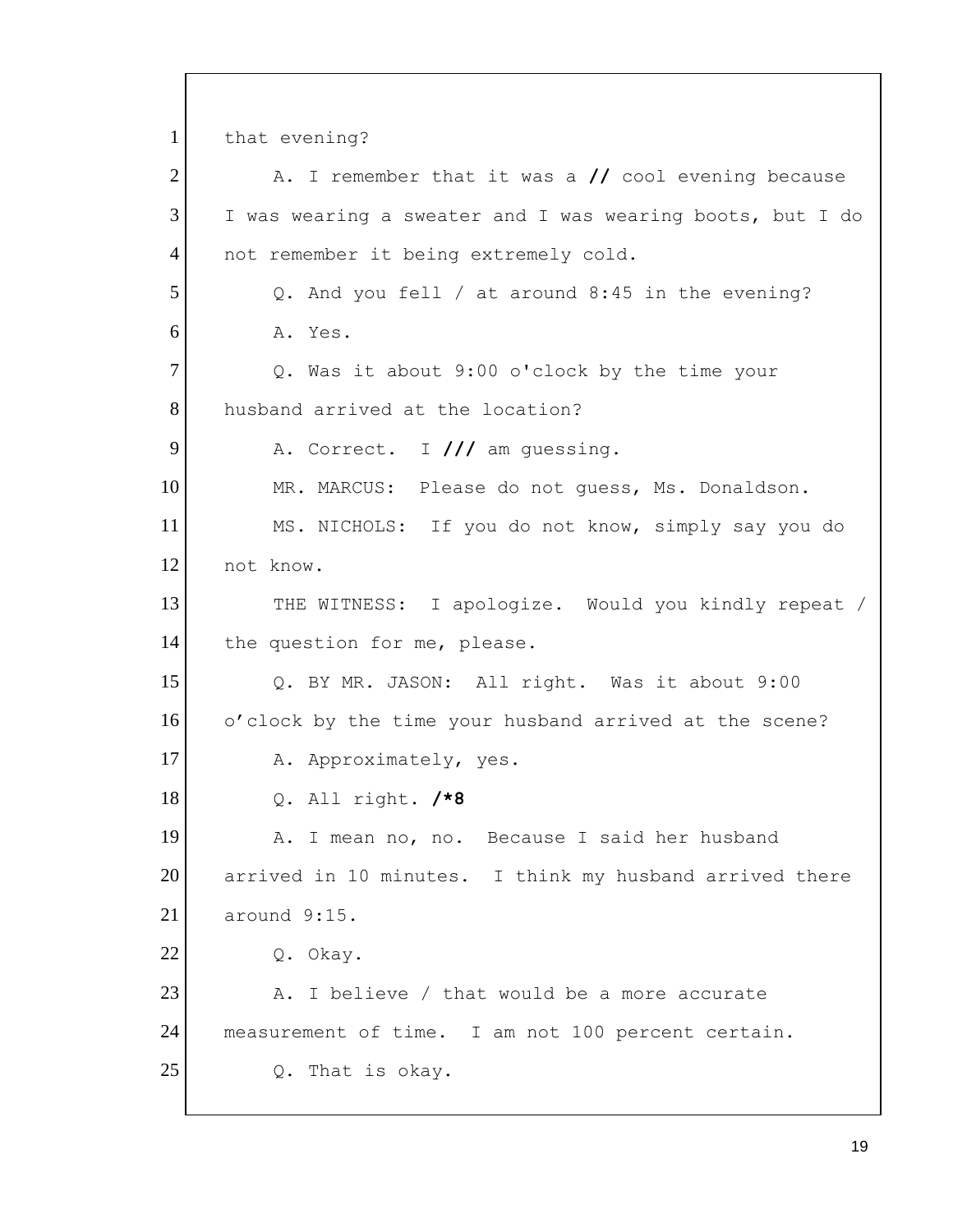Q. BY MR. JASON: All right. Was it about 9:00 measurement of time. I am not 100 percent certain. 1 2 3 4 5 6 7 8 9 10 11 12 13 14 15 16 17 18 19 20 21 22 23 24 25 that evening? A. I remember that it was a **//** cool evening because I was wearing a sweater and I was wearing boots, but I do not remember it being extremely cold. Q. And you fell / at around 8:45 in the evening? A. Yes. Q. Was it about 9:00 o'clock by the time your husband arrived at the location? A. Correct. I **///** am guessing. MR. MARCUS: Please do not guess, Ms. Donaldson. MS. NICHOLS: If you do not know, simply say you do not know. THE WITNESS: I apologize. Would you kindly repeat / the question for me, please. o'clock by the time your husband arrived at the scene? A. Approximately, yes. Q. All right. **/\*8**  A. I mean no, no. Because I said her husband arrived in 10 minutes. I think my husband arrived there around 9:15. Q. Okay. A. I believe / that would be a more accurate Q. That is okay.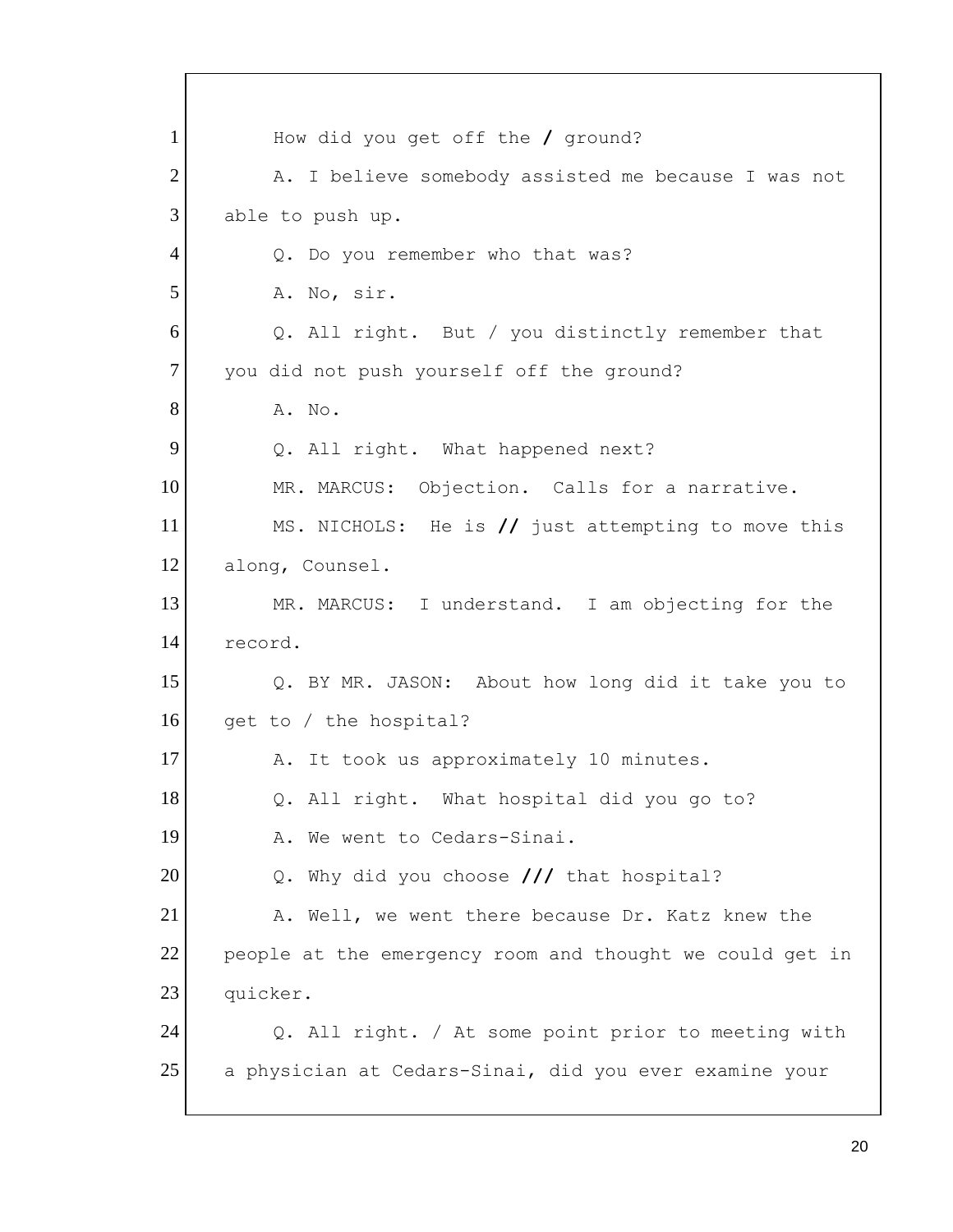1 2 3 4 5 6 7 8 9 10 11 12 13 14 15 16 17 18 19 20 21 22 23 24 25 How did you get off the **/** ground? A. I believe somebody assisted me because I was not able to push up. Q. Do you remember who that was? A. No, sir. Q. All right. But / you distinctly remember that you did not push yourself off the ground? A. No. Q. All right. What happened next? MR. MARCUS: Objection. Calls for a narrative. MS. NICHOLS: He is **//** just attempting to move this along, Counsel. MR. MARCUS: I understand. I am objecting for the record. Q. BY MR. JASON: About how long did it take you to get to / the hospital? A. It took us approximately 10 minutes. Q. All right. What hospital did you go to? A. We went to Cedars-Sinai. Q. Why did you choose **///** that hospital? A. Well, we went there because Dr. Katz knew the people at the emergency room and thought we could get in quicker. Q. All right. / At some point prior to meeting with a physician at Cedars-Sinai, did you ever examine your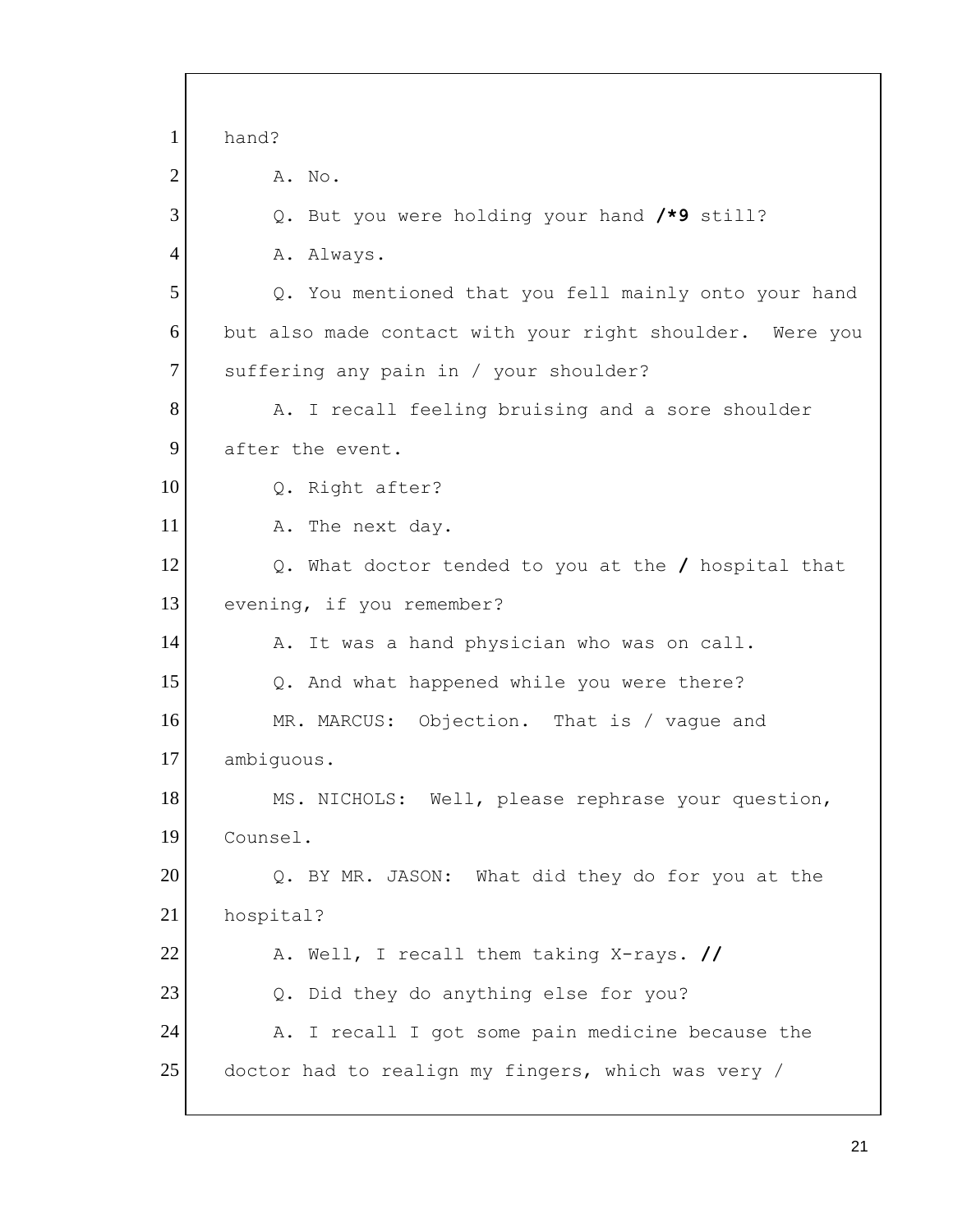1 2 3 4 5 6 7 8 9 10 11 12 13 14 15 16 17 18 19 20 21 22 23 24 25 hand? A. No. Q. But you were holding your hand **/\*9** still? A. Always. Q. You mentioned that you fell mainly onto your hand but also made contact with your right shoulder. Were you suffering any pain in / your shoulder? A. I recall feeling bruising and a sore shoulder after the event. Q. Right after? A. The next day. Q. What doctor tended to you at the **/** hospital that evening, if you remember? A. It was a hand physician who was on call. Q. And what happened while you were there? MR. MARCUS: Objection. That is / vague and ambiguous. MS. NICHOLS: Well, please rephrase your question, Counsel. Q. BY MR. JASON: What did they do for you at the hospital? A. Well, I recall them taking X-rays. **//**  Q. Did they do anything else for you? A. I recall I got some pain medicine because the doctor had to realign my fingers, which was very /